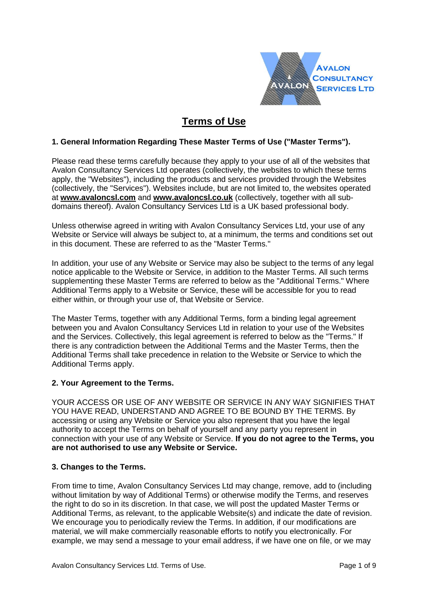

# **Terms of Use**

# **1. General Information Regarding These Master Terms of Use ("Master Terms").**

Please read these terms carefully because they apply to your use of all of the websites that Avalon Consultancy Services Ltd operates (collectively, the websites to which these terms apply, the "Websites"), including the products and services provided through the Websites (collectively, the "Services"). Websites include, but are not limited to, the websites operated at **[www.avaloncsl.com](file:///C:/Users/fsmith/AppData/Local/Microsoft/Windows/Temporary%20Internet%20Files/Content.Outlook/I2GYSW0F/replaceclientdomain1)** and **[www.avaloncsl.co.uk](http://www.avaloncsl.co.uk/)** (collectively, together with all subdomains thereof). Avalon Consultancy Services Ltd is a UK based professional body.

Unless otherwise agreed in writing with Avalon Consultancy Services Ltd, your use of any Website or Service will always be subject to, at a minimum, the terms and conditions set out in this document. These are referred to as the "Master Terms."

In addition, your use of any Website or Service may also be subject to the terms of any legal notice applicable to the Website or Service, in addition to the Master Terms. All such terms supplementing these Master Terms are referred to below as the "Additional Terms." Where Additional Terms apply to a Website or Service, these will be accessible for you to read either within, or through your use of, that Website or Service.

The Master Terms, together with any Additional Terms, form a binding legal agreement between you and Avalon Consultancy Services Ltd in relation to your use of the Websites and the Services. Collectively, this legal agreement is referred to below as the "Terms." If there is any contradiction between the Additional Terms and the Master Terms, then the Additional Terms shall take precedence in relation to the Website or Service to which the Additional Terms apply.

## **2. Your Agreement to the Terms.**

YOUR ACCESS OR USE OF ANY WEBSITE OR SERVICE IN ANY WAY SIGNIFIES THAT YOU HAVE READ, UNDERSTAND AND AGREE TO BE BOUND BY THE TERMS. By accessing or using any Website or Service you also represent that you have the legal authority to accept the Terms on behalf of yourself and any party you represent in connection with your use of any Website or Service. **If you do not agree to the Terms, you are not authorised to use any Website or Service.**

## **3. Changes to the Terms.**

From time to time, Avalon Consultancy Services Ltd may change, remove, add to (including without limitation by way of Additional Terms) or otherwise modify the Terms, and reserves the right to do so in its discretion. In that case, we will post the updated Master Terms or Additional Terms, as relevant, to the applicable Website(s) and indicate the date of revision. We encourage you to periodically review the Terms. In addition, if our modifications are material, we will make commercially reasonable efforts to notify you electronically. For example, we may send a message to your email address, if we have one on file, or we may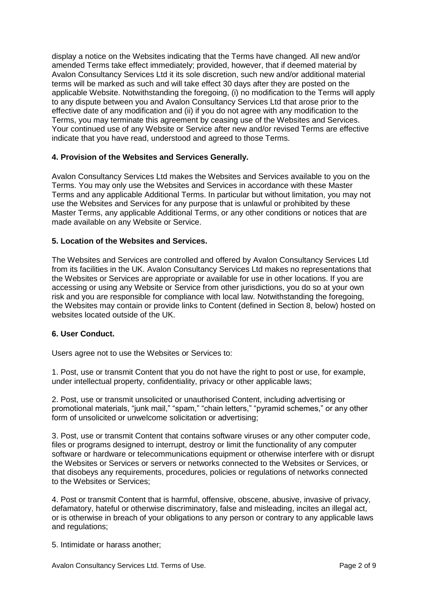display a notice on the Websites indicating that the Terms have changed. All new and/or amended Terms take effect immediately; provided, however, that if deemed material by Avalon Consultancy Services Ltd it its sole discretion, such new and/or additional material terms will be marked as such and will take effect 30 days after they are posted on the applicable Website. Notwithstanding the foregoing, (i) no modification to the Terms will apply to any dispute between you and Avalon Consultancy Services Ltd that arose prior to the effective date of any modification and (ii) if you do not agree with any modification to the Terms, you may terminate this agreement by ceasing use of the Websites and Services. Your continued use of any Website or Service after new and/or revised Terms are effective indicate that you have read, understood and agreed to those Terms.

## **4. Provision of the Websites and Services Generally.**

Avalon Consultancy Services Ltd makes the Websites and Services available to you on the Terms. You may only use the Websites and Services in accordance with these Master Terms and any applicable Additional Terms. In particular but without limitation, you may not use the Websites and Services for any purpose that is unlawful or prohibited by these Master Terms, any applicable Additional Terms, or any other conditions or notices that are made available on any Website or Service.

## **5. Location of the Websites and Services.**

The Websites and Services are controlled and offered by Avalon Consultancy Services Ltd from its facilities in the UK. Avalon Consultancy Services Ltd makes no representations that the Websites or Services are appropriate or available for use in other locations. If you are accessing or using any Website or Service from other jurisdictions, you do so at your own risk and you are responsible for compliance with local law. Notwithstanding the foregoing, the Websites may contain or provide links to Content (defined in Section 8, below) hosted on websites located outside of the UK.

## **6. User Conduct.**

Users agree not to use the Websites or Services to:

1. Post, use or transmit Content that you do not have the right to post or use, for example, under intellectual property, confidentiality, privacy or other applicable laws;

2. Post, use or transmit unsolicited or unauthorised Content, including advertising or promotional materials, "junk mail," "spam," "chain letters," "pyramid schemes," or any other form of unsolicited or unwelcome solicitation or advertising;

3. Post, use or transmit Content that contains software viruses or any other computer code, files or programs designed to interrupt, destroy or limit the functionality of any computer software or hardware or telecommunications equipment or otherwise interfere with or disrupt the Websites or Services or servers or networks connected to the Websites or Services, or that disobeys any requirements, procedures, policies or regulations of networks connected to the Websites or Services;

4. Post or transmit Content that is harmful, offensive, obscene, abusive, invasive of privacy, defamatory, hateful or otherwise discriminatory, false and misleading, incites an illegal act, or is otherwise in breach of your obligations to any person or contrary to any applicable laws and regulations;

5. Intimidate or harass another;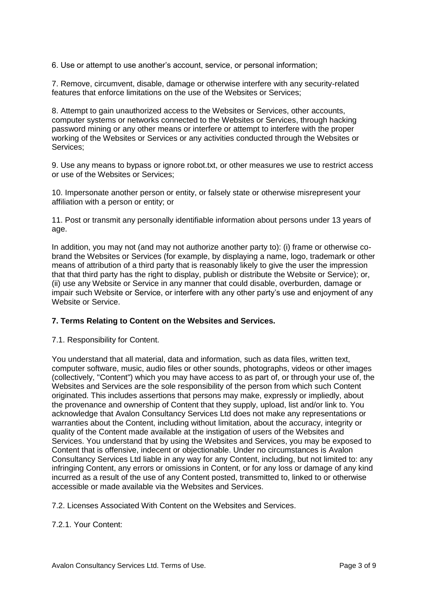6. Use or attempt to use another's account, service, or personal information;

7. Remove, circumvent, disable, damage or otherwise interfere with any security-related features that enforce limitations on the use of the Websites or Services;

8. Attempt to gain unauthorized access to the Websites or Services, other accounts, computer systems or networks connected to the Websites or Services, through hacking password mining or any other means or interfere or attempt to interfere with the proper working of the Websites or Services or any activities conducted through the Websites or Services;

9. Use any means to bypass or ignore robot.txt, or other measures we use to restrict access or use of the Websites or Services;

10. Impersonate another person or entity, or falsely state or otherwise misrepresent your affiliation with a person or entity; or

11. Post or transmit any personally identifiable information about persons under 13 years of age.

In addition, you may not (and may not authorize another party to): (i) frame or otherwise cobrand the Websites or Services (for example, by displaying a name, logo, trademark or other means of attribution of a third party that is reasonably likely to give the user the impression that that third party has the right to display, publish or distribute the Website or Service); or, (ii) use any Website or Service in any manner that could disable, overburden, damage or impair such Website or Service, or interfere with any other party's use and enjoyment of any Website or Service.

## **7. Terms Relating to Content on the Websites and Services.**

7.1. Responsibility for Content.

You understand that all material, data and information, such as data files, written text, computer software, music, audio files or other sounds, photographs, videos or other images (collectively, "Content") which you may have access to as part of, or through your use of, the Websites and Services are the sole responsibility of the person from which such Content originated. This includes assertions that persons may make, expressly or impliedly, about the provenance and ownership of Content that they supply, upload, list and/or link to. You acknowledge that Avalon Consultancy Services Ltd does not make any representations or warranties about the Content, including without limitation, about the accuracy, integrity or quality of the Content made available at the instigation of users of the Websites and Services. You understand that by using the Websites and Services, you may be exposed to Content that is offensive, indecent or objectionable. Under no circumstances is Avalon Consultancy Services Ltd liable in any way for any Content, including, but not limited to: any infringing Content, any errors or omissions in Content, or for any loss or damage of any kind incurred as a result of the use of any Content posted, transmitted to, linked to or otherwise accessible or made available via the Websites and Services.

7.2. Licenses Associated With Content on the Websites and Services.

7.2.1. Your Content: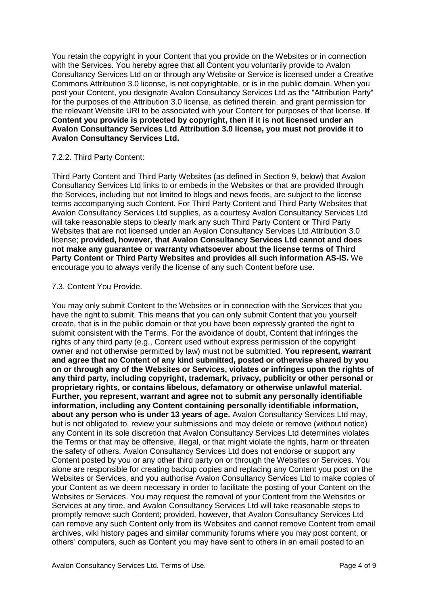You retain the copyright in your Content that you provide on the Websites or in connection with the Services. You hereby agree that all Content you voluntarily provide to Avalon Consultancy Services Ltd on or through any Website or Service is licensed under a Creative Commons Attribution 3.0 license, is not copyrightable, or is in the public domain. When you post your Content, you designate Avalon Consultancy Services Ltd as the "Attribution Party" for the purposes of the Attribution 3.0 license, as defined therein, and grant permission for the relevant Website URI to be associated with your Content for purposes of that license. **If Content you provide is protected by copyright, then if it is not licensed under an Avalon Consultancy Services Ltd Attribution 3.0 license, you must not provide it to Avalon Consultancy Services Ltd.**

#### 7.2.2. Third Party Content:

Third Party Content and Third Party Websites (as defined in Section 9, below) that Avalon Consultancy Services Ltd links to or embeds in the Websites or that are provided through the Services, including but not limited to blogs and news feeds, are subject to the license terms accompanying such Content. For Third Party Content and Third Party Websites that Avalon Consultancy Services Ltd supplies, as a courtesy Avalon Consultancy Services Ltd will take reasonable steps to clearly mark any such Third Party Content or Third Party Websites that are not licensed under an Avalon Consultancy Services Ltd Attribution 3.0 license; **provided, however, that Avalon Consultancy Services Ltd cannot and does not make any guarantee or warranty whatsoever about the license terms of Third Party Content or Third Party Websites and provides all such information AS-IS.** We encourage you to always verify the license of any such Content before use.

#### 7.3. Content You Provide.

You may only submit Content to the Websites or in connection with the Services that you have the right to submit. This means that you can only submit Content that you yourself create, that is in the public domain or that you have been expressly granted the right to submit consistent with the Terms. For the avoidance of doubt, Content that infringes the rights of any third party (e.g., Content used without express permission of the copyright owner and not otherwise permitted by law) must not be submitted. **You represent, warrant and agree that no Content of any kind submitted, posted or otherwise shared by you on or through any of the Websites or Services, violates or infringes upon the rights of any third party, including copyright, trademark, privacy, publicity or other personal or proprietary rights, or contains libelous, defamatory or otherwise unlawful material. Further, you represent, warrant and agree not to submit any personally identifiable information, including any Content containing personally identifiable information, about any person who is under 13 years of age.** Avalon Consultancy Services Ltd may, but is not obligated to, review your submissions and may delete or remove (without notice) any Content in its sole discretion that Avalon Consultancy Services Ltd determines violates the Terms or that may be offensive, illegal, or that might violate the rights, harm or threaten the safety of others. Avalon Consultancy Services Ltd does not endorse or support any Content posted by you or any other third party on or through the Websites or Services. You alone are responsible for creating backup copies and replacing any Content you post on the Websites or Services, and you authorise Avalon Consultancy Services Ltd to make copies of your Content as we deem necessary in order to facilitate the posting of your Content on the Websites or Services. You may request the removal of your Content from the Websites or Services at any time, and Avalon Consultancy Services Ltd will take reasonable steps to promptly remove such Content; provided, however, that Avalon Consultancy Services Ltd can remove any such Content only from its Websites and cannot remove Content from email archives, wiki history pages and similar community forums where you may post content, or others' computers, such as Content you may have sent to others in an email posted to an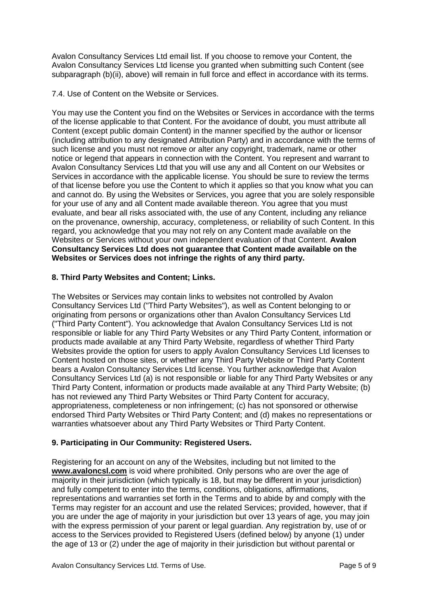Avalon Consultancy Services Ltd email list. If you choose to remove your Content, the Avalon Consultancy Services Ltd license you granted when submitting such Content (see subparagraph (b)(ii), above) will remain in full force and effect in accordance with its terms.

7.4. Use of Content on the Website or Services.

You may use the Content you find on the Websites or Services in accordance with the terms of the license applicable to that Content. For the avoidance of doubt, you must attribute all Content (except public domain Content) in the manner specified by the author or licensor (including attribution to any designated Attribution Party) and in accordance with the terms of such license and you must not remove or alter any copyright, trademark, name or other notice or legend that appears in connection with the Content. You represent and warrant to Avalon Consultancy Services Ltd that you will use any and all Content on our Websites or Services in accordance with the applicable license. You should be sure to review the terms of that license before you use the Content to which it applies so that you know what you can and cannot do. By using the Websites or Services, you agree that you are solely responsible for your use of any and all Content made available thereon. You agree that you must evaluate, and bear all risks associated with, the use of any Content, including any reliance on the provenance, ownership, accuracy, completeness, or reliability of such Content. In this regard, you acknowledge that you may not rely on any Content made available on the Websites or Services without your own independent evaluation of that Content. **Avalon Consultancy Services Ltd does not guarantee that Content made available on the Websites or Services does not infringe the rights of any third party.**

## **8. Third Party Websites and Content; Links.**

The Websites or Services may contain links to websites not controlled by Avalon Consultancy Services Ltd ("Third Party Websites"), as well as Content belonging to or originating from persons or organizations other than Avalon Consultancy Services Ltd ("Third Party Content"). You acknowledge that Avalon Consultancy Services Ltd is not responsible or liable for any Third Party Websites or any Third Party Content, information or products made available at any Third Party Website, regardless of whether Third Party Websites provide the option for users to apply Avalon Consultancy Services Ltd licenses to Content hosted on those sites, or whether any Third Party Website or Third Party Content bears a Avalon Consultancy Services Ltd license. You further acknowledge that Avalon Consultancy Services Ltd (a) is not responsible or liable for any Third Party Websites or any Third Party Content, information or products made available at any Third Party Website; (b) has not reviewed any Third Party Websites or Third Party Content for accuracy, appropriateness, completeness or non infringement; (c) has not sponsored or otherwise endorsed Third Party Websites or Third Party Content; and (d) makes no representations or warranties whatsoever about any Third Party Websites or Third Party Content.

## **9. Participating in Our Community: Registered Users.**

Registering for an account on any of the Websites, including but not limited to the **[www.avaloncsl.com](file:///C:/Users/fsmith/AppData/Local/Microsoft/Windows/Temporary%20Internet%20Files/Content.Outlook/I2GYSW0F/replaceclientdomain1)** is void where prohibited. Only persons who are over the age of majority in their jurisdiction (which typically is 18, but may be different in your jurisdiction) and fully competent to enter into the terms, conditions, obligations, affirmations, representations and warranties set forth in the Terms and to abide by and comply with the Terms may register for an account and use the related Services; provided, however, that if you are under the age of majority in your jurisdiction but over 13 years of age, you may join with the express permission of your parent or legal guardian. Any registration by, use of or access to the Services provided to Registered Users (defined below) by anyone (1) under the age of 13 or (2) under the age of majority in their jurisdiction but without parental or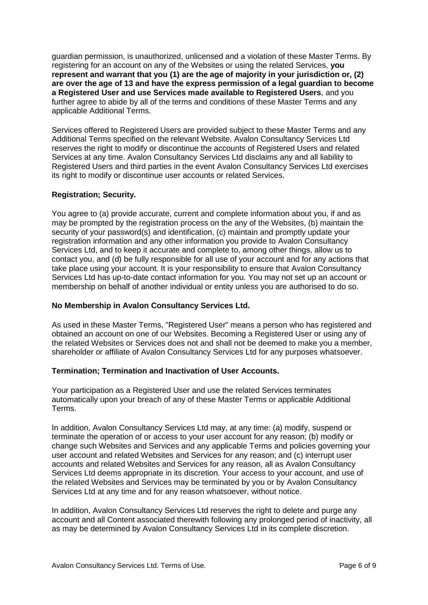guardian permission, is unauthorized, unlicensed and a violation of these Master Terms. By registering for an account on any of the Websites or using the related Services, **you represent and warrant that you (1) are the age of majority in your jurisdiction or, (2) are over the age of 13 and have the express permission of a legal guardian to become a Registered User and use Services made available to Registered Users**, and you further agree to abide by all of the terms and conditions of these Master Terms and any applicable Additional Terms.

Services offered to Registered Users are provided subject to these Master Terms and any Additional Terms specified on the relevant Website. Avalon Consultancy Services Ltd reserves the right to modify or discontinue the accounts of Registered Users and related Services at any time. Avalon Consultancy Services Ltd disclaims any and all liability to Registered Users and third parties in the event Avalon Consultancy Services Ltd exercises its right to modify or discontinue user accounts or related Services.

#### **Registration; Security.**

You agree to (a) provide accurate, current and complete information about you, if and as may be prompted by the registration process on the any of the Websites, (b) maintain the security of your password(s) and identification, (c) maintain and promptly update your registration information and any other information you provide to Avalon Consultancy Services Ltd, and to keep it accurate and complete to, among other things, allow us to contact you, and (d) be fully responsible for all use of your account and for any actions that take place using your account. It is your responsibility to ensure that Avalon Consultancy Services Ltd has up-to-date contact information for you. You may not set up an account or membership on behalf of another individual or entity unless you are authorised to do so.

#### **No Membership in Avalon Consultancy Services Ltd.**

As used in these Master Terms, "Registered User" means a person who has registered and obtained an account on one of our Websites. Becoming a Registered User or using any of the related Websites or Services does not and shall not be deemed to make you a member, shareholder or affiliate of Avalon Consultancy Services Ltd for any purposes whatsoever.

## **Termination; Termination and Inactivation of User Accounts.**

Your participation as a Registered User and use the related Services terminates automatically upon your breach of any of these Master Terms or applicable Additional Terms.

In addition, Avalon Consultancy Services Ltd may, at any time: (a) modify, suspend or terminate the operation of or access to your user account for any reason; (b) modify or change such Websites and Services and any applicable Terms and policies governing your user account and related Websites and Services for any reason; and (c) interrupt user accounts and related Websites and Services for any reason, all as Avalon Consultancy Services Ltd deems appropriate in its discretion. Your access to your account, and use of the related Websites and Services may be terminated by you or by Avalon Consultancy Services Ltd at any time and for any reason whatsoever, without notice.

In addition, Avalon Consultancy Services Ltd reserves the right to delete and purge any account and all Content associated therewith following any prolonged period of inactivity, all as may be determined by Avalon Consultancy Services Ltd in its complete discretion.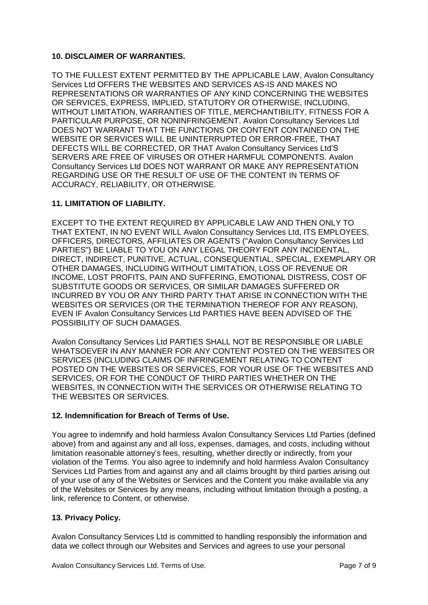## **10. DISCLAIMER OF WARRANTIES.**

TO THE FULLEST EXTENT PERMITTED BY THE APPLICABLE LAW, Avalon Consultancy Services Ltd OFFERS THE WEBSITES AND SERVICES AS-IS AND MAKES NO REPRESENTATIONS OR WARRANTIES OF ANY KIND CONCERNING THE WEBSITES OR SERVICES, EXPRESS, IMPLIED, STATUTORY OR OTHERWISE, INCLUDING, WITHOUT LIMITATION, WARRANTIES OF TITLE, MERCHANTIBILITY, FITNESS FOR A PARTICULAR PURPOSE, OR NONINFRINGEMENT. Avalon Consultancy Services Ltd DOES NOT WARRANT THAT THE FUNCTIONS OR CONTENT CONTAINED ON THE WEBSITE OR SERVICES WILL BE UNINTERRUPTED OR ERROR-FREE, THAT DEFECTS WILL BE CORRECTED, OR THAT Avalon Consultancy Services Ltd'S SERVERS ARE FREE OF VIRUSES OR OTHER HARMFUL COMPONENTS. Avalon Consultancy Services Ltd DOES NOT WARRANT OR MAKE ANY REPRESENTATION REGARDING USE OR THE RESULT OF USE OF THE CONTENT IN TERMS OF ACCURACY, RELIABILITY, OR OTHERWISE.

# **11. LIMITATION OF LIABILITY.**

EXCEPT TO THE EXTENT REQUIRED BY APPLICABLE LAW AND THEN ONLY TO THAT EXTENT, IN NO EVENT WILL Avalon Consultancy Services Ltd, ITS EMPLOYEES, OFFICERS, DIRECTORS, AFFILIATES OR AGENTS ("Avalon Consultancy Services Ltd PARTIES") BE LIABLE TO YOU ON ANY LEGAL THEORY FOR ANY INCIDENTAL, DIRECT, INDIRECT, PUNITIVE, ACTUAL, CONSEQUENTIAL, SPECIAL, EXEMPLARY OR OTHER DAMAGES, INCLUDING WITHOUT LIMITATION, LOSS OF REVENUE OR INCOME, LOST PROFITS, PAIN AND SUFFERING, EMOTIONAL DISTRESS, COST OF SUBSTITUTE GOODS OR SERVICES, OR SIMILAR DAMAGES SUFFERED OR INCURRED BY YOU OR ANY THIRD PARTY THAT ARISE IN CONNECTION WITH THE WEBSITES OR SERVICES (OR THE TERMINATION THEREOF FOR ANY REASON), EVEN IF Avalon Consultancy Services Ltd PARTIES HAVE BEEN ADVISED OF THE POSSIBILITY OF SUCH DAMAGES.

Avalon Consultancy Services Ltd PARTIES SHALL NOT BE RESPONSIBLE OR LIABLE WHATSOEVER IN ANY MANNER FOR ANY CONTENT POSTED ON THE WEBSITES OR SERVICES (INCLUDING CLAIMS OF INFRINGEMENT RELATING TO CONTENT POSTED ON THE WEBSITES OR SERVICES, FOR YOUR USE OF THE WEBSITES AND SERVICES, OR FOR THE CONDUCT OF THIRD PARTIES WHETHER ON THE WEBSITES, IN CONNECTION WITH THE SERVICES OR OTHERWISE RELATING TO THE WEBSITES OR SERVICES.

## **12. Indemnification for Breach of Terms of Use.**

You agree to indemnify and hold harmless Avalon Consultancy Services Ltd Parties (defined above) from and against any and all loss, expenses, damages, and costs, including without limitation reasonable attorney's fees, resulting, whether directly or indirectly, from your violation of the Terms. You also agree to indemnify and hold harmless Avalon Consultancy Services Ltd Parties from and against any and all claims brought by third parties arising out of your use of any of the Websites or Services and the Content you make available via any of the Websites or Services by any means, including without limitation through a posting, a link, reference to Content, or otherwise.

## **13. Privacy Policy.**

Avalon Consultancy Services Ltd is committed to handling responsibly the information and data we collect through our Websites and Services and agrees to use your personal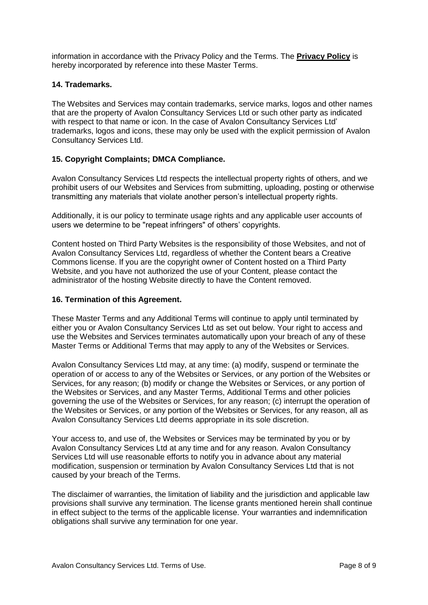information in accordance with the Privacy Policy and the Terms. The **[Privacy Policy](http://aerosociety.com/pages/Privacy-Policy)** is hereby incorporated by reference into these Master Terms.

### **14. Trademarks.**

The Websites and Services may contain trademarks, service marks, logos and other names that are the property of Avalon Consultancy Services Ltd or such other party as indicated with respect to that name or icon. In the case of Avalon Consultancy Services Ltd' trademarks, logos and icons, these may only be used with the explicit permission of Avalon Consultancy Services Ltd.

#### **15. Copyright Complaints; DMCA Compliance.**

Avalon Consultancy Services Ltd respects the intellectual property rights of others, and we prohibit users of our Websites and Services from submitting, uploading, posting or otherwise transmitting any materials that violate another person's intellectual property rights.

Additionally, it is our policy to terminate usage rights and any applicable user accounts of users we determine to be "repeat infringers" of others' copyrights.

Content hosted on Third Party Websites is the responsibility of those Websites, and not of Avalon Consultancy Services Ltd, regardless of whether the Content bears a Creative Commons license. If you are the copyright owner of Content hosted on a Third Party Website, and you have not authorized the use of your Content, please contact the administrator of the hosting Website directly to have the Content removed.

#### **16. Termination of this Agreement.**

These Master Terms and any Additional Terms will continue to apply until terminated by either you or Avalon Consultancy Services Ltd as set out below. Your right to access and use the Websites and Services terminates automatically upon your breach of any of these Master Terms or Additional Terms that may apply to any of the Websites or Services.

Avalon Consultancy Services Ltd may, at any time: (a) modify, suspend or terminate the operation of or access to any of the Websites or Services, or any portion of the Websites or Services, for any reason; (b) modify or change the Websites or Services, or any portion of the Websites or Services, and any Master Terms, Additional Terms and other policies governing the use of the Websites or Services, for any reason; (c) interrupt the operation of the Websites or Services, or any portion of the Websites or Services, for any reason, all as Avalon Consultancy Services Ltd deems appropriate in its sole discretion.

Your access to, and use of, the Websites or Services may be terminated by you or by Avalon Consultancy Services Ltd at any time and for any reason. Avalon Consultancy Services Ltd will use reasonable efforts to notify you in advance about any material modification, suspension or termination by Avalon Consultancy Services Ltd that is not caused by your breach of the Terms.

The disclaimer of warranties, the limitation of liability and the jurisdiction and applicable law provisions shall survive any termination. The license grants mentioned herein shall continue in effect subject to the terms of the applicable license. Your warranties and indemnification obligations shall survive any termination for one year.